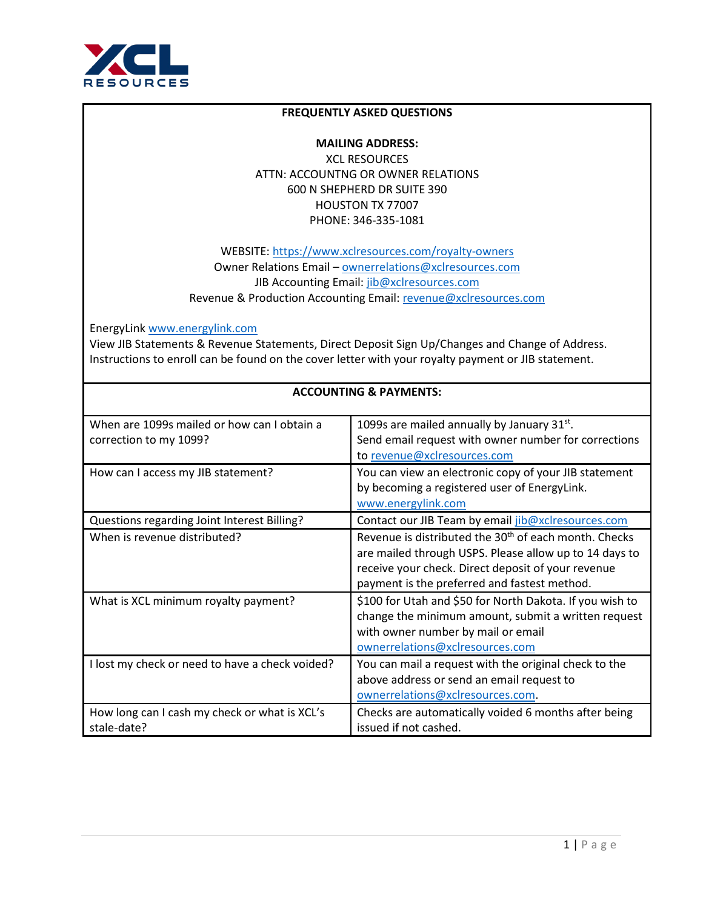

## **FREQUENTLY ASKED QUESTIONS**

**MAILING ADDRESS:**  XCL RESOURCES ATTN: ACCOUNTNG OR OWNER RELATIONS 600 N SHEPHERD DR SUITE 390 HOUSTON TX 77007 PHONE: 346-335-1081

WEBSITE:<https://www.xclresources.com/royalty-owners> Owner Relations Email – [ownerrelations@xclresources.com](mailto:ownerrelations@xclresources.com) JIB Accounting Email: [jib@xclresources.com](mailto:jib@xclresources.com) Revenue & Production Accounting Email: [revenue@xclresources.com](mailto:revenue@xclresources.com)

EnergyLink [www.energylink.com](http://www.energylink.com/) 

View JIB Statements & Revenue Statements, Direct Deposit Sign Up/Changes and Change of Address. Instructions to enroll can be found on the cover letter with your royalty payment or JIB statement.

| When are 1099s mailed or how can I obtain a<br>correction to my 1099? | 1099s are mailed annually by January $31^{st}$ .<br>Send email request with owner number for corrections<br>to revenue@xclresources.com                                                                                           |
|-----------------------------------------------------------------------|-----------------------------------------------------------------------------------------------------------------------------------------------------------------------------------------------------------------------------------|
| How can I access my JIB statement?                                    | You can view an electronic copy of your JIB statement<br>by becoming a registered user of EnergyLink.<br>www.energylink.com                                                                                                       |
| Questions regarding Joint Interest Billing?                           | Contact our JIB Team by email jib@xclresources.com                                                                                                                                                                                |
| When is revenue distributed?                                          | Revenue is distributed the 30 <sup>th</sup> of each month. Checks<br>are mailed through USPS. Please allow up to 14 days to<br>receive your check. Direct deposit of your revenue<br>payment is the preferred and fastest method. |
| What is XCL minimum royalty payment?                                  | \$100 for Utah and \$50 for North Dakota. If you wish to<br>change the minimum amount, submit a written request<br>with owner number by mail or email<br>ownerrelations@xclresources.com                                          |
| I lost my check or need to have a check voided?                       | You can mail a request with the original check to the<br>above address or send an email request to<br>ownerrelations@xclresources.com.                                                                                            |
| How long can I cash my check or what is XCL's<br>stale-date?          | Checks are automatically voided 6 months after being<br>issued if not cashed.                                                                                                                                                     |

## **ACCOUNTING & PAYMENTS:**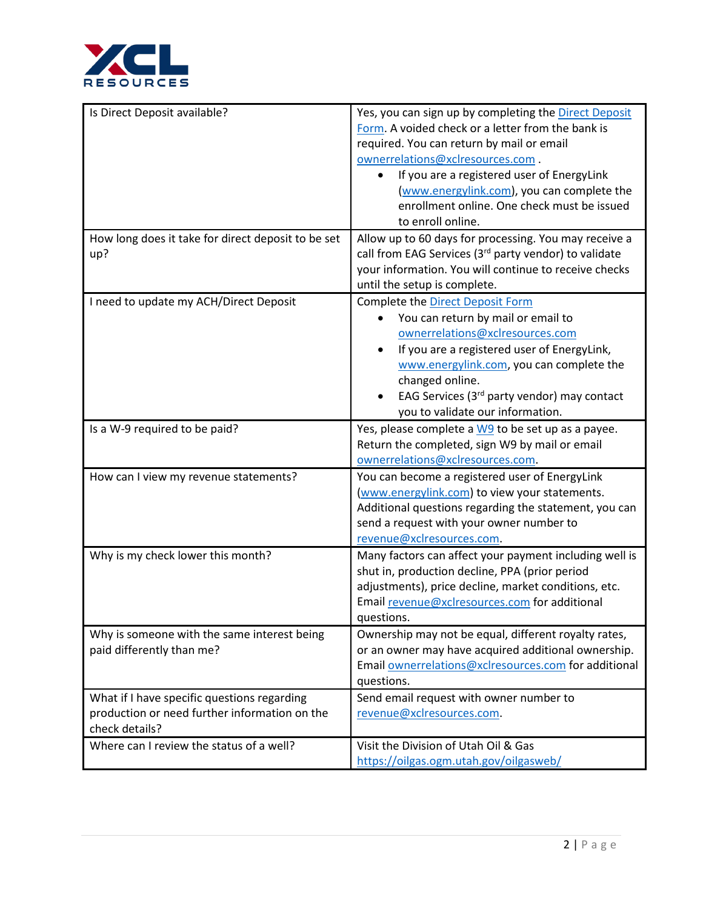

| Is Direct Deposit available?                                                                                   | Yes, you can sign up by completing the Direct Deposit<br>Form. A voided check or a letter from the bank is<br>required. You can return by mail or email<br>ownerrelations@xclresources.com.<br>If you are a registered user of EnergyLink<br>(www.energylink.com), you can complete the<br>enrollment online. One check must be issued<br>to enroll online. |
|----------------------------------------------------------------------------------------------------------------|-------------------------------------------------------------------------------------------------------------------------------------------------------------------------------------------------------------------------------------------------------------------------------------------------------------------------------------------------------------|
| How long does it take for direct deposit to be set<br>up?                                                      | Allow up to 60 days for processing. You may receive a<br>call from EAG Services (3 <sup>rd</sup> party vendor) to validate<br>your information. You will continue to receive checks<br>until the setup is complete.                                                                                                                                         |
| I need to update my ACH/Direct Deposit                                                                         | Complete the Direct Deposit Form<br>You can return by mail or email to<br>ownerrelations@xclresources.com<br>If you are a registered user of EnergyLink,<br>www.energylink.com, you can complete the<br>changed online.<br>EAG Services (3rd party vendor) may contact<br>you to validate our information.                                                  |
| Is a W-9 required to be paid?                                                                                  | Yes, please complete a W9 to be set up as a payee.<br>Return the completed, sign W9 by mail or email<br>ownerrelations@xclresources.com.                                                                                                                                                                                                                    |
| How can I view my revenue statements?                                                                          | You can become a registered user of EnergyLink<br>(www.energylink.com) to view your statements.<br>Additional questions regarding the statement, you can<br>send a request with your owner number to<br>revenue@xclresources.com.                                                                                                                           |
| Why is my check lower this month?                                                                              | Many factors can affect your payment including well is<br>shut in, production decline, PPA (prior period<br>adjustments), price decline, market conditions, etc.<br>Email revenue@xclresources.com for additional<br>questions.                                                                                                                             |
| Why is someone with the same interest being<br>paid differently than me?                                       | Ownership may not be equal, different royalty rates,<br>or an owner may have acquired additional ownership.<br>Email ownerrelations@xclresources.com for additional<br>questions.                                                                                                                                                                           |
| What if I have specific questions regarding<br>production or need further information on the<br>check details? | Send email request with owner number to<br>revenue@xclresources.com.                                                                                                                                                                                                                                                                                        |
| Where can I review the status of a well?                                                                       | Visit the Division of Utah Oil & Gas<br>https://oilgas.ogm.utah.gov/oilgasweb/                                                                                                                                                                                                                                                                              |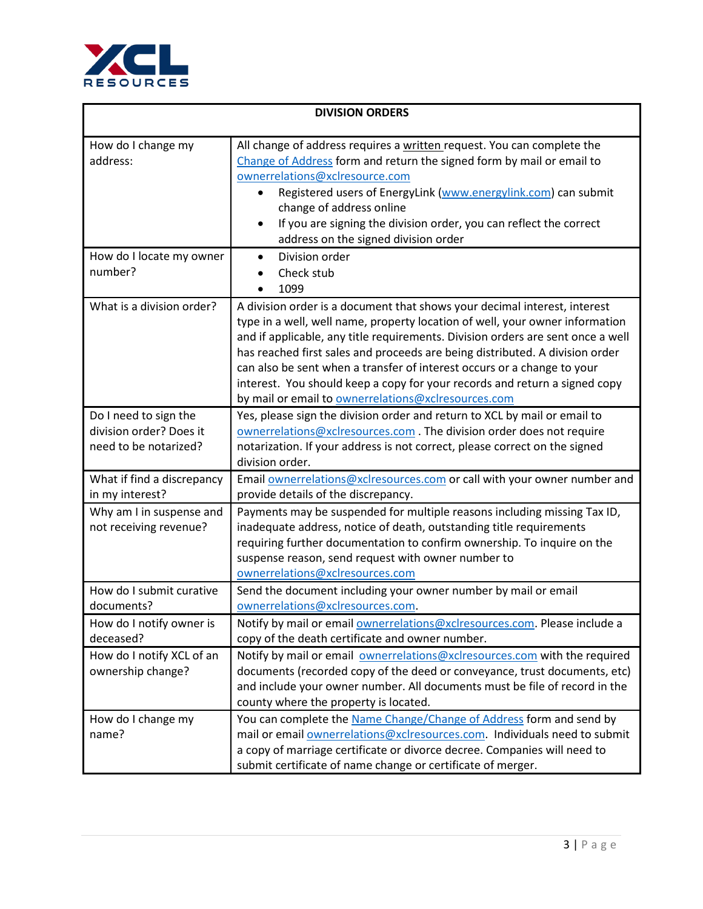

| <b>DIVISION ORDERS</b>                                                    |                                                                                                                                                                                                                                                                                                                                                                                                                                                                                                                                                     |
|---------------------------------------------------------------------------|-----------------------------------------------------------------------------------------------------------------------------------------------------------------------------------------------------------------------------------------------------------------------------------------------------------------------------------------------------------------------------------------------------------------------------------------------------------------------------------------------------------------------------------------------------|
| How do I change my<br>address:                                            | All change of address requires a written request. You can complete the<br>Change of Address form and return the signed form by mail or email to<br>ownerrelations@xclresource.com<br>Registered users of EnergyLink (www.energylink.com) can submit<br>change of address online<br>If you are signing the division order, you can reflect the correct<br>address on the signed division order                                                                                                                                                       |
| How do I locate my owner<br>number?                                       | Division order<br>Check stub<br>1099                                                                                                                                                                                                                                                                                                                                                                                                                                                                                                                |
| What is a division order?                                                 | A division order is a document that shows your decimal interest, interest<br>type in a well, well name, property location of well, your owner information<br>and if applicable, any title requirements. Division orders are sent once a well<br>has reached first sales and proceeds are being distributed. A division order<br>can also be sent when a transfer of interest occurs or a change to your<br>interest. You should keep a copy for your records and return a signed copy<br>by mail or email to <b>ownerrelations@xclresources.com</b> |
| Do I need to sign the<br>division order? Does it<br>need to be notarized? | Yes, please sign the division order and return to XCL by mail or email to<br>ownerrelations@xclresources.com. The division order does not require<br>notarization. If your address is not correct, please correct on the signed<br>division order.                                                                                                                                                                                                                                                                                                  |
| What if find a discrepancy<br>in my interest?                             | Email ownerrelations@xclresources.com or call with your owner number and<br>provide details of the discrepancy.                                                                                                                                                                                                                                                                                                                                                                                                                                     |
| Why am I in suspense and<br>not receiving revenue?                        | Payments may be suspended for multiple reasons including missing Tax ID,<br>inadequate address, notice of death, outstanding title requirements<br>requiring further documentation to confirm ownership. To inquire on the<br>suspense reason, send request with owner number to<br>ownerrelations@xclresources.com                                                                                                                                                                                                                                 |
| How do I submit curative<br>documents?                                    | Send the document including your owner number by mail or email<br>ownerrelations@xclresources.com.                                                                                                                                                                                                                                                                                                                                                                                                                                                  |
| How do I notify owner is<br>deceased?                                     | Notify by mail or email <b>ownerrelations@xclresources.com</b> . Please include a<br>copy of the death certificate and owner number.                                                                                                                                                                                                                                                                                                                                                                                                                |
| How do I notify XCL of an<br>ownership change?                            | Notify by mail or email ownerrelations@xclresources.com with the required<br>documents (recorded copy of the deed or conveyance, trust documents, etc)<br>and include your owner number. All documents must be file of record in the<br>county where the property is located.                                                                                                                                                                                                                                                                       |
| How do I change my<br>name?                                               | You can complete the Name Change/Change of Address form and send by<br>mail or email ownerrelations@xclresources.com. Individuals need to submit<br>a copy of marriage certificate or divorce decree. Companies will need to<br>submit certificate of name change or certificate of merger.                                                                                                                                                                                                                                                         |